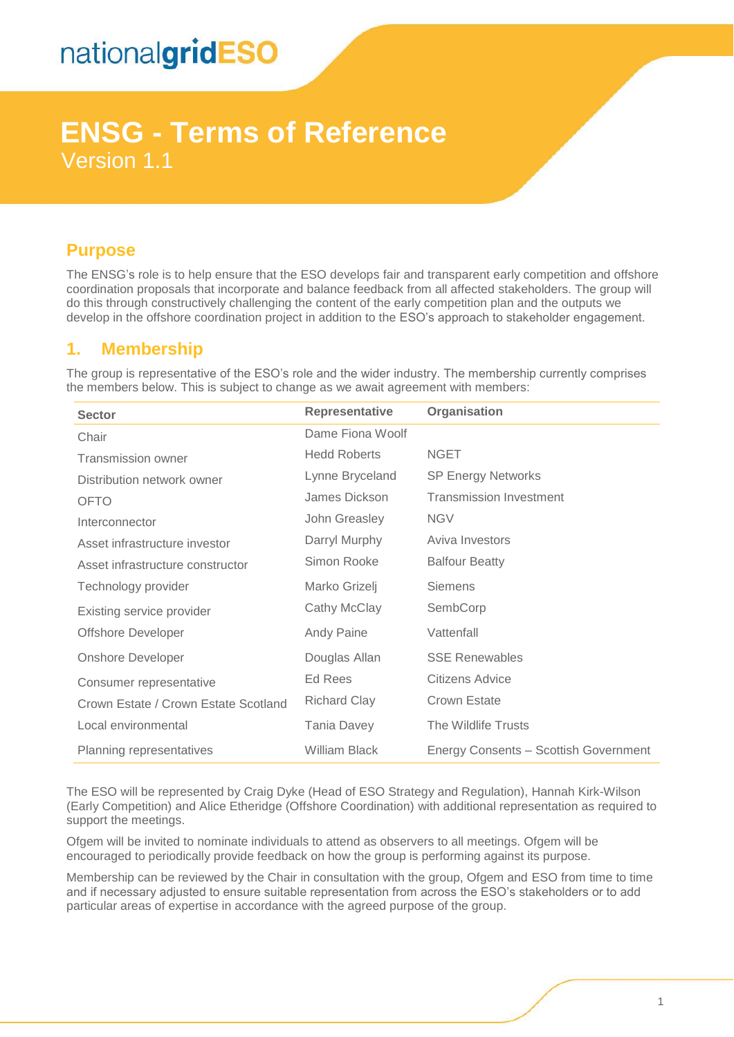# **ENSG - Terms of Reference** Version 1.1

## **Purpose**

The ENSG's role is to help ensure that the ESO develops fair and transparent early competition and offshore coordination proposals that incorporate and balance feedback from all affected stakeholders. The group will do this through constructively challenging the content of the early competition plan and the outputs we develop in the offshore coordination project in addition to the ESO's approach to stakeholder engagement.

## **1. Membership**

The group is representative of the ESO's role and the wider industry. The membership currently comprises the members below. This is subject to change as we await agreement with members:

| <b>Sector</b>                        | Representative       | Organisation                          |
|--------------------------------------|----------------------|---------------------------------------|
| Chair                                | Dame Fiona Woolf     |                                       |
| <b>Transmission owner</b>            | <b>Hedd Roberts</b>  | <b>NGET</b>                           |
| Distribution network owner           | Lynne Bryceland      | <b>SP Energy Networks</b>             |
| <b>OFTO</b>                          | James Dickson        | <b>Transmission Investment</b>        |
| Interconnector                       | John Greasley        | <b>NGV</b>                            |
| Asset infrastructure investor        | Darryl Murphy        | Aviva Investors                       |
| Asset infrastructure constructor     | Simon Rooke          | <b>Balfour Beatty</b>                 |
| Technology provider                  | Marko Grizelj        | Siemens                               |
| Existing service provider            | Cathy McClay         | SembCorp                              |
| <b>Offshore Developer</b>            | <b>Andy Paine</b>    | Vattenfall                            |
| <b>Onshore Developer</b>             | Douglas Allan        | <b>SSE Renewables</b>                 |
| Consumer representative              | Ed Rees              | Citizens Advice                       |
| Crown Estate / Crown Estate Scotland | <b>Richard Clay</b>  | Crown Estate                          |
| Local environmental                  | <b>Tania Davey</b>   | The Wildlife Trusts                   |
| Planning representatives             | <b>William Black</b> | Energy Consents - Scottish Government |

The ESO will be represented by Craig Dyke (Head of ESO Strategy and Regulation), Hannah Kirk-Wilson (Early Competition) and Alice Etheridge (Offshore Coordination) with additional representation as required to support the meetings.

Ofgem will be invited to nominate individuals to attend as observers to all meetings. Ofgem will be encouraged to periodically provide feedback on how the group is performing against its purpose.

Membership can be reviewed by the Chair in consultation with the group, Ofgem and ESO from time to time and if necessary adjusted to ensure suitable representation from across the ESO's stakeholders or to add particular areas of expertise in accordance with the agreed purpose of the group.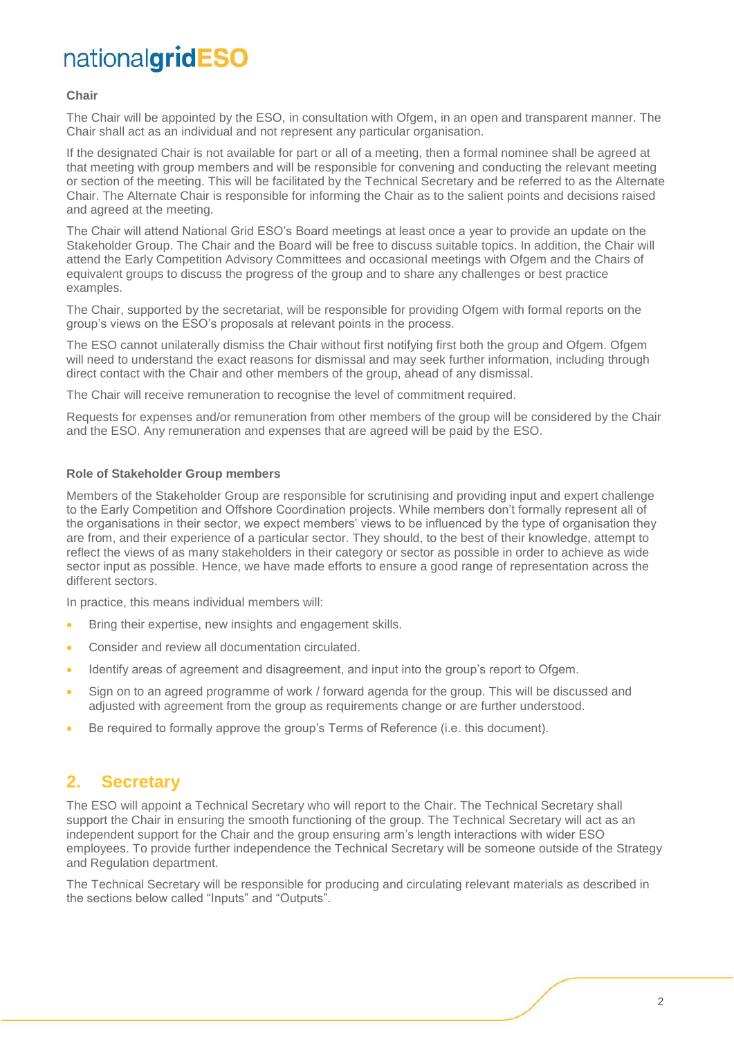### **Chair**

The Chair will be appointed by the ESO, in consultation with Ofgem, in an open and transparent manner. The Chair shall act as an individual and not represent any particular organisation.

If the designated Chair is not available for part or all of a meeting, then a formal nominee shall be agreed at that meeting with group members and will be responsible for convening and conducting the relevant meeting or section of the meeting. This will be facilitated by the Technical Secretary and be referred to as the Alternate Chair. The Alternate Chair is responsible for informing the Chair as to the salient points and decisions raised and agreed at the meeting.

The Chair will attend National Grid ESO's Board meetings at least once a year to provide an update on the Stakeholder Group. The Chair and the Board will be free to discuss suitable topics. In addition, the Chair will attend the Early Competition Advisory Committees and occasional meetings with Ofgem and the Chairs of equivalent groups to discuss the progress of the group and to share any challenges or best practice examples.

The Chair, supported by the secretariat, will be responsible for providing Ofgem with formal reports on the group's views on the ESO's proposals at relevant points in the process.

The ESO cannot unilaterally dismiss the Chair without first notifying first both the group and Ofgem. Ofgem will need to understand the exact reasons for dismissal and may seek further information, including through direct contact with the Chair and other members of the group, ahead of any dismissal.

The Chair will receive remuneration to recognise the level of commitment required.

Requests for expenses and/or remuneration from other members of the group will be considered by the Chair and the ESO. Any remuneration and expenses that are agreed will be paid by the ESO.

#### **Role of Stakeholder Group members**

Members of the Stakeholder Group are responsible for scrutinising and providing input and expert challenge to the Early Competition and Offshore Coordination projects. While members don't formally represent all of the organisations in their sector, we expect members' views to be influenced by the type of organisation they are from, and their experience of a particular sector. They should, to the best of their knowledge, attempt to reflect the views of as many stakeholders in their category or sector as possible in order to achieve as wide sector input as possible. Hence, we have made efforts to ensure a good range of representation across the different sectors.

In practice, this means individual members will:

- Bring their expertise, new insights and engagement skills.
- Consider and review all documentation circulated.
- Identify areas of agreement and disagreement, and input into the group's report to Ofgem.
- Sign on to an agreed programme of work / forward agenda for the group. This will be discussed and adjusted with agreement from the group as requirements change or are further understood.
- Be required to formally approve the group's Terms of Reference (i.e. this document).

## **2. Secretary**

The ESO will appoint a Technical Secretary who will report to the Chair. The Technical Secretary shall support the Chair in ensuring the smooth functioning of the group. The Technical Secretary will act as an independent support for the Chair and the group ensuring arm's length interactions with wider ESO employees. To provide further independence the Technical Secretary will be someone outside of the Strategy and Regulation department.

The Technical Secretary will be responsible for producing and circulating relevant materials as described in the sections below called "Inputs" and "Outputs".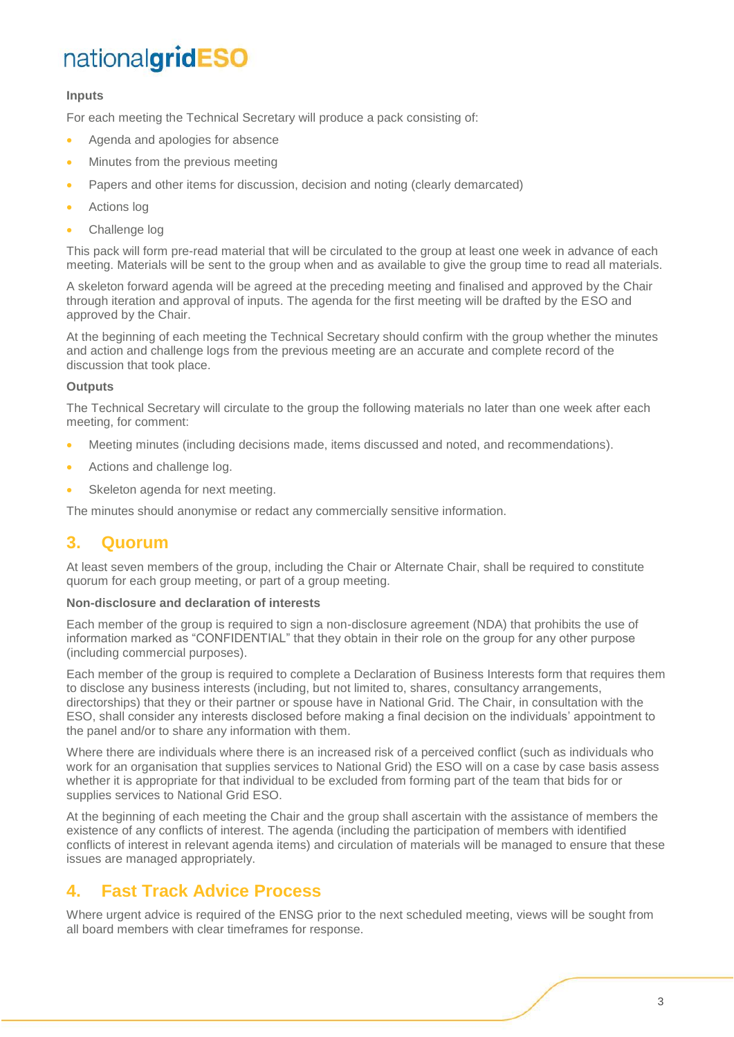## **Inputs**

For each meeting the Technical Secretary will produce a pack consisting of:

- Agenda and apologies for absence
- Minutes from the previous meeting
- Papers and other items for discussion, decision and noting (clearly demarcated)
- Actions log
- Challenge log

This pack will form pre-read material that will be circulated to the group at least one week in advance of each meeting. Materials will be sent to the group when and as available to give the group time to read all materials.

A skeleton forward agenda will be agreed at the preceding meeting and finalised and approved by the Chair through iteration and approval of inputs. The agenda for the first meeting will be drafted by the ESO and approved by the Chair.

At the beginning of each meeting the Technical Secretary should confirm with the group whether the minutes and action and challenge logs from the previous meeting are an accurate and complete record of the discussion that took place.

### **Outputs**

The Technical Secretary will circulate to the group the following materials no later than one week after each meeting, for comment:

- Meeting minutes (including decisions made, items discussed and noted, and recommendations).
- Actions and challenge log.
- Skeleton agenda for next meeting.

The minutes should anonymise or redact any commercially sensitive information.

## **3. Quorum**

At least seven members of the group, including the Chair or Alternate Chair, shall be required to constitute quorum for each group meeting, or part of a group meeting.

### **Non-disclosure and declaration of interests**

Each member of the group is required to sign a non-disclosure agreement (NDA) that prohibits the use of information marked as "CONFIDENTIAL" that they obtain in their role on the group for any other purpose (including commercial purposes).

Each member of the group is required to complete a Declaration of Business Interests form that requires them to disclose any business interests (including, but not limited to, shares, consultancy arrangements, directorships) that they or their partner or spouse have in National Grid. The Chair, in consultation with the ESO, shall consider any interests disclosed before making a final decision on the individuals' appointment to the panel and/or to share any information with them.

Where there are individuals where there is an increased risk of a perceived conflict (such as individuals who work for an organisation that supplies services to National Grid) the ESO will on a case by case basis assess whether it is appropriate for that individual to be excluded from forming part of the team that bids for or supplies services to National Grid ESO.

At the beginning of each meeting the Chair and the group shall ascertain with the assistance of members the existence of any conflicts of interest. The agenda (including the participation of members with identified conflicts of interest in relevant agenda items) and circulation of materials will be managed to ensure that these issues are managed appropriately.

## **4. Fast Track Advice Process**

Where urgent advice is required of the ENSG prior to the next scheduled meeting, views will be sought from all board members with clear timeframes for response.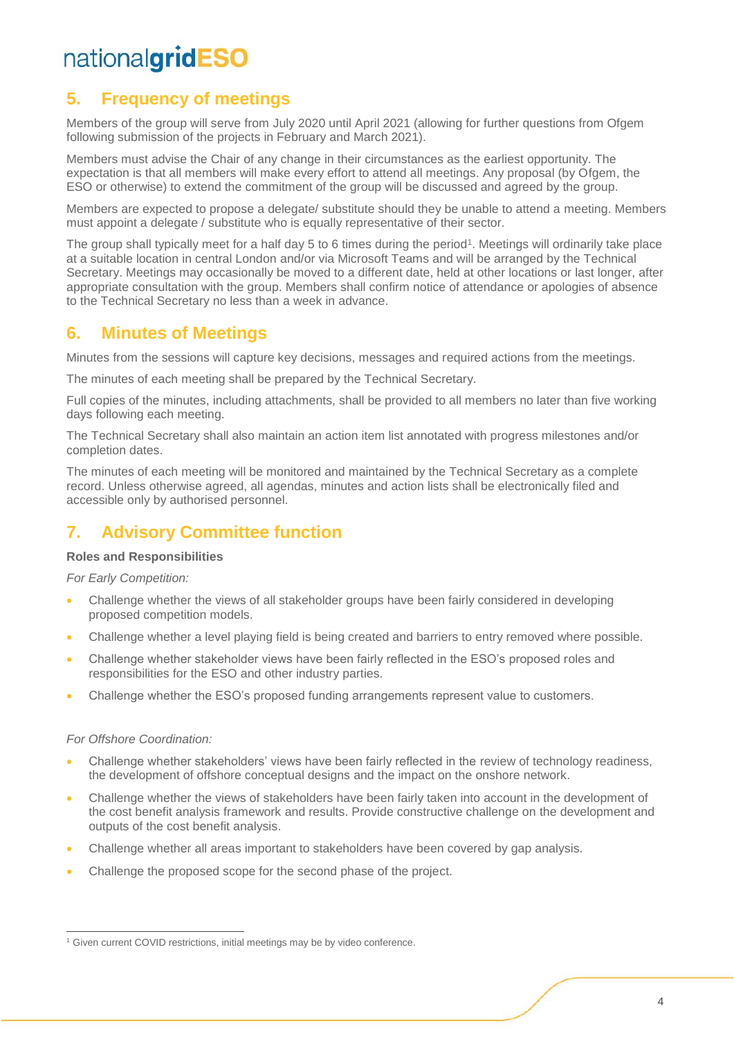# **5. Frequency of meetings**

Members of the group will serve from July 2020 until April 2021 (allowing for further questions from Ofgem following submission of the projects in February and March 2021).

Members must advise the Chair of any change in their circumstances as the earliest opportunity. The expectation is that all members will make every effort to attend all meetings. Any proposal (by Ofgem, the ESO or otherwise) to extend the commitment of the group will be discussed and agreed by the group.

Members are expected to propose a delegate/ substitute should they be unable to attend a meeting. Members must appoint a delegate / substitute who is equally representative of their sector.

The group shall typically meet for a half day 5 to 6 times during the period<sup>1</sup>. Meetings will ordinarily take place at a suitable location in central London and/or via Microsoft Teams and will be arranged by the Technical Secretary. Meetings may occasionally be moved to a different date, held at other locations or last longer, after appropriate consultation with the group. Members shall confirm notice of attendance or apologies of absence to the Technical Secretary no less than a week in advance.

## **6. Minutes of Meetings**

Minutes from the sessions will capture key decisions, messages and required actions from the meetings.

The minutes of each meeting shall be prepared by the Technical Secretary.

Full copies of the minutes, including attachments, shall be provided to all members no later than five working days following each meeting.

The Technical Secretary shall also maintain an action item list annotated with progress milestones and/or completion dates.

The minutes of each meeting will be monitored and maintained by the Technical Secretary as a complete record. Unless otherwise agreed, all agendas, minutes and action lists shall be electronically filed and accessible only by authorised personnel.

# **7. Advisory Committee function**

## **Roles and Responsibilities**

*For Early Competition:* 

- Challenge whether the views of all stakeholder groups have been fairly considered in developing proposed competition models.
- Challenge whether a level playing field is being created and barriers to entry removed where possible.
- Challenge whether stakeholder views have been fairly reflected in the ESO's proposed roles and responsibilities for the ESO and other industry parties.
- Challenge whether the ESO's proposed funding arrangements represent value to customers.

### *For Offshore Coordination:*

 $\overline{a}$ 

- Challenge whether stakeholders' views have been fairly reflected in the review of technology readiness, the development of offshore conceptual designs and the impact on the onshore network.
- Challenge whether the views of stakeholders have been fairly taken into account in the development of the cost benefit analysis framework and results. Provide constructive challenge on the development and outputs of the cost benefit analysis.
- Challenge whether all areas important to stakeholders have been covered by gap analysis.
- Challenge the proposed scope for the second phase of the project.

<sup>&</sup>lt;sup>1</sup> Given current COVID restrictions, initial meetings may be by video conference.